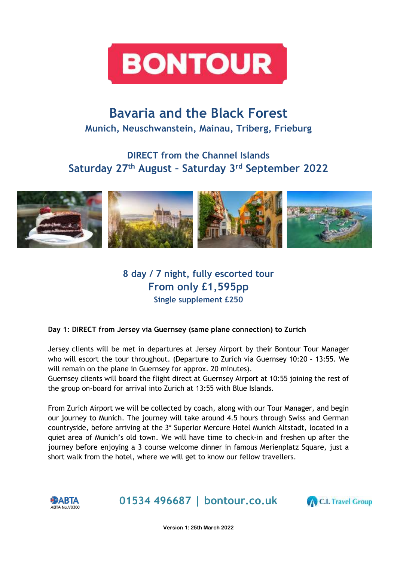

# **Bavaria and the Black Forest Munich, Neuschwanstein, Mainau, Triberg, Frieburg**

## **DIRECT from the Channel Islands Saturday 27th August – Saturday 3rd September 2022**



### **8 day / 7 night, fully escorted tour From only £1,595pp Single supplement £250**

### **Day 1: DIRECT from Jersey via Guernsey (same plane connection) to Zurich**

Jersey clients will be met in departures at Jersey Airport by their Bontour Tour Manager who will escort the tour throughout. (Departure to Zurich via Guernsey 10:20 – 13:55. We will remain on the plane in Guernsey for approx. 20 minutes).

Guernsey clients will board the flight direct at Guernsey Airport at 10:55 joining the rest of the group on-board for arrival into Zurich at 13:55 with Blue Islands.

From Zurich Airport we will be collected by coach, along with our Tour Manager, and begin our journey to Munich. The journey will take around 4.5 hours through Swiss and German countryside, before arriving at the 3\* Superior Mercure Hotel Munich Altstadt, located in a quiet area of Munich's old town. We will have time to check-in and freshen up after the journey before enjoying a 3 course welcome dinner in famous Merienplatz Square, just a short walk from the hotel, where we will get to know our fellow travellers.



**01534 496687 | bontour.co.uk**



**Version 1: 25th March 2022**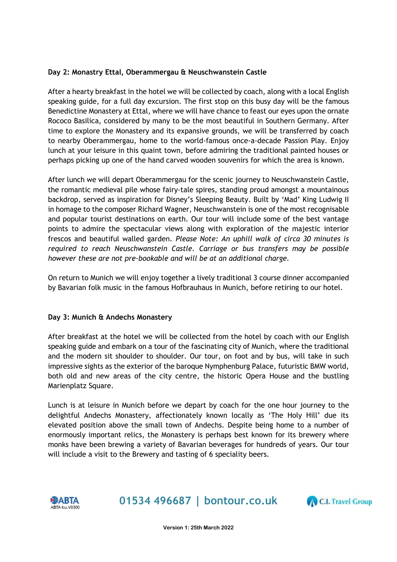#### **Day 2: Monastry Ettal, Oberammergau & Neuschwanstein Castle**

After a hearty breakfast in the hotel we will be collected by coach, along with a local English speaking guide, for a full day excursion. The first stop on this busy day will be the famous Benedictine Monastery at Ettal, where we will have chance to feast our eyes upon the ornate Rococo Basilica, considered by many to be the most beautiful in Southern Germany. After time to explore the Monastery and its expansive grounds, we will be transferred by coach to nearby Oberammergau, home to the world-famous once-a-decade Passion Play. Enjoy lunch at your leisure in this quaint town, before admiring the traditional painted houses or perhaps picking up one of the hand carved wooden souvenirs for which the area is known.

After lunch we will depart Oberammergau for the scenic journey to Neuschwanstein Castle, the romantic medieval pile whose fairy-tale spires, standing proud amongst a mountainous backdrop, served as inspiration for Disney's Sleeping Beauty. Built by 'Mad' King Ludwig II in homage to the composer Richard Wagner, Neuschwanstein is one of the most recognisable and popular tourist destinations on earth. Our tour will include some of the best vantage points to admire the spectacular views along with exploration of the majestic interior frescos and beautiful walled garden. *Please Note: An uphill walk of circa 30 minutes is required to reach Neuschwanstein Castle. Carriage or bus transfers may be possible however these are not pre-bookable and will be at an additional charge.* 

On return to Munich we will enjoy together a lively traditional 3 course dinner accompanied by Bavarian folk music in the famous Hofbrauhaus in Munich, before retiring to our hotel.

#### **Day 3: Munich & Andechs Monastery**

After breakfast at the hotel we will be collected from the hotel by coach with our English speaking guide and embark on a tour of the fascinating city of Munich, where the traditional and the modern sit shoulder to shoulder. Our tour, on foot and by bus, will take in such impressive sights as the exterior of the baroque Nymphenburg Palace, futuristic BMW world, both old and new areas of the city centre, the historic Opera House and the bustling Marienplatz Square.

Lunch is at leisure in Munich before we depart by coach for the one hour journey to the delightful Andechs Monastery, affectionately known locally as 'The Holy Hill' due its elevated position above the small town of Andechs. Despite being home to a number of enormously important relics, the Monastery is perhaps best known for its brewery where monks have been brewing a variety of Bavarian beverages for hundreds of years. Our tour will include a visit to the Brewery and tasting of 6 speciality beers.



**01534 496687 | bontour.co.uk**

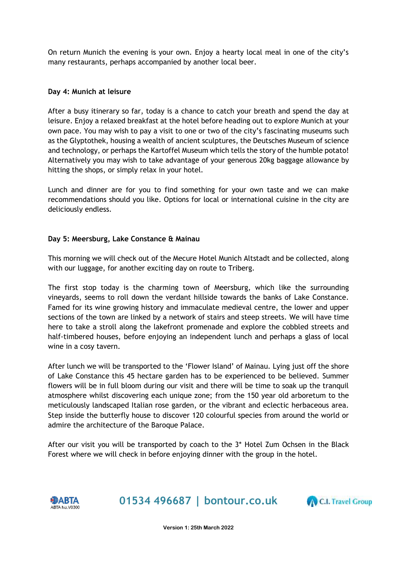On return Munich the evening is your own. Enjoy a hearty local meal in one of the city's many restaurants, perhaps accompanied by another local beer.

#### **Day 4: Munich at leisure**

After a busy itinerary so far, today is a chance to catch your breath and spend the day at leisure. Enjoy a relaxed breakfast at the hotel before heading out to explore Munich at your own pace. You may wish to pay a visit to one or two of the city's fascinating museums such as the Glyptothek, housing a wealth of ancient sculptures, the Deutsches Museum of science and technology, or perhaps the Kartoffel Museum which tells the story of the humble potato! Alternatively you may wish to take advantage of your generous 20kg baggage allowance by hitting the shops, or simply relax in your hotel.

Lunch and dinner are for you to find something for your own taste and we can make recommendations should you like. Options for local or international cuisine in the city are deliciously endless.

#### **Day 5: Meersburg, Lake Constance & Mainau**

This morning we will check out of the Mecure Hotel Munich Altstadt and be collected, along with our luggage, for another exciting day on route to Triberg.

The first stop today is the charming town of Meersburg, which like the surrounding vineyards, seems to roll down the verdant hillside towards the banks of Lake Constance. Famed for its wine growing history and immaculate medieval centre, the lower and upper sections of the town are linked by a network of stairs and steep streets. We will have time here to take a stroll along the lakefront promenade and explore the cobbled streets and half-timbered houses, before enjoying an independent lunch and perhaps a glass of local wine in a cosy tavern.

After lunch we will be transported to the 'Flower Island' of Mainau. Lying just off the shore of Lake Constance this 45 hectare garden has to be experienced to be believed. Summer flowers will be in full bloom during our visit and there will be time to soak up the tranquil atmosphere whilst discovering each unique zone; from the 150 year old arboretum to the meticulously landscaped Italian rose garden, or the vibrant and eclectic herbaceous area. Step inside the butterfly house to discover 120 colourful species from around the world or admire the architecture of the Baroque Palace.

After our visit you will be transported by coach to the 3\* Hotel Zum Ochsen in the Black Forest where we will check in before enjoying dinner with the group in the hotel.



**01534 496687 | bontour.co.uk**

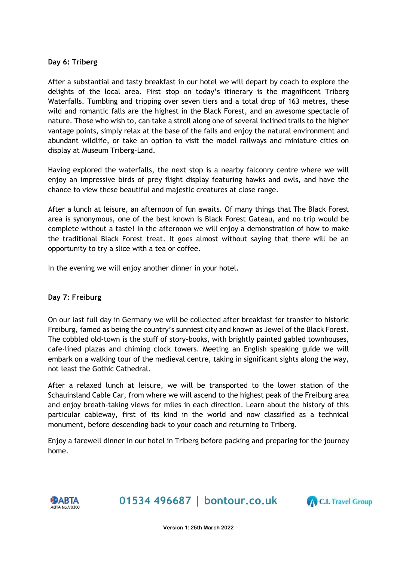#### **Day 6: Triberg**

After a substantial and tasty breakfast in our hotel we will depart by coach to explore the delights of the local area. First stop on today's itinerary is the magnificent Triberg Waterfalls. Tumbling and tripping over seven tiers and a total drop of 163 metres, these wild and romantic falls are the highest in the Black Forest, and an awesome spectacle of nature. Those who wish to, can take a stroll along one of several inclined trails to the higher vantage points, simply relax at the base of the falls and enjoy the natural environment and abundant wildlife, or take an option to visit the model railways and miniature cities on display at Museum Triberg-Land.

Having explored the waterfalls, the next stop is a nearby falconry centre where we will enjoy an impressive birds of prey flight display featuring hawks and owls, and have the chance to view these beautiful and majestic creatures at close range.

After a lunch at leisure, an afternoon of fun awaits. Of many things that The Black Forest area is synonymous, one of the best known is Black Forest Gateau, and no trip would be complete without a taste! In the afternoon we will enjoy a demonstration of how to make the traditional Black Forest treat. It goes almost without saying that there will be an opportunity to try a slice with a tea or coffee.

In the evening we will enjoy another dinner in your hotel.

#### **Day 7: Freiburg**

On our last full day in Germany we will be collected after breakfast for transfer to historic Freiburg, famed as being the country's sunniest city and known as Jewel of the Black Forest. The cobbled old-town is the stuff of story-books, with brightly painted gabled townhouses, cafe-lined plazas and chiming clock towers. Meeting an English speaking guide we will embark on a walking tour of the medieval centre, taking in significant sights along the way, not least the Gothic Cathedral.

After a relaxed lunch at leisure, we will be transported to the lower station of the Schauinsland Cable Car, from where we will ascend to the highest peak of the Freiburg area and enjoy breath-taking views for miles in each direction. Learn about the history of this particular cableway, first of its kind in the world and now classified as a technical monument, before descending back to your coach and returning to Triberg.

Enjoy a farewell dinner in our hotel in Triberg before packing and preparing for the journey home.



**01534 496687 | bontour.co.uk**